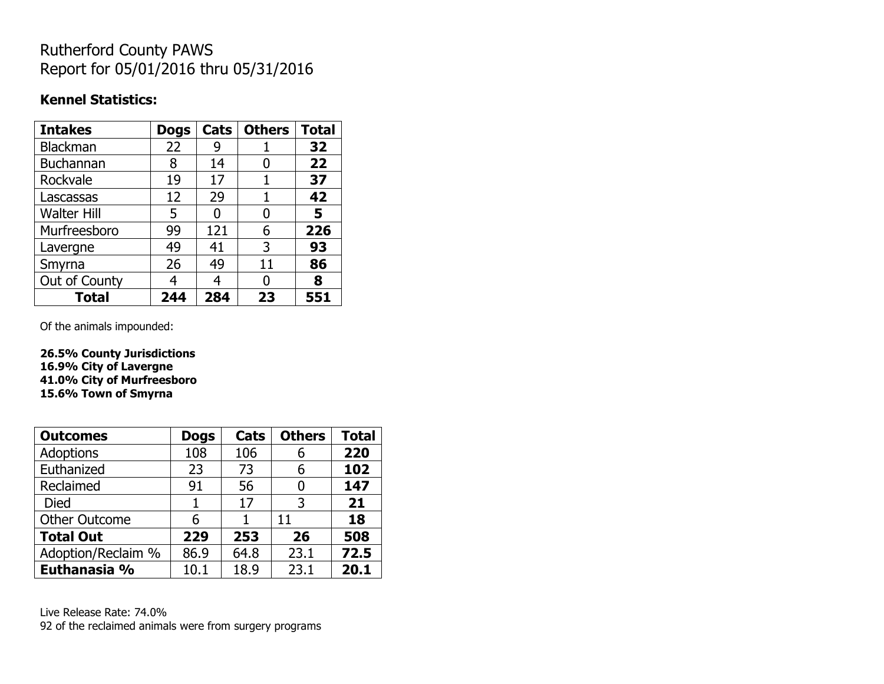## Rutherford County PAWS Report for 05/01/2016 thru 05/31/2016

## **Kennel Statistics:**

| <b>Intakes</b>     | <b>Dogs</b> | Cats | <b>Others</b> | <b>Total</b> |
|--------------------|-------------|------|---------------|--------------|
| Blackman           | 22          | 9    |               | 32           |
| <b>Buchannan</b>   | 8           | 14   | 0             | 22           |
| Rockvale           | 19          | 17   |               | 37           |
| Lascassas          | 12          | 29   |               | 42           |
| <b>Walter Hill</b> | 5           | O    | 0             | 5            |
| Murfreesboro       | 99          | 121  | 6             | 226          |
| Lavergne           | 49          | 41   | 3             | 93           |
| Smyrna             | 26          | 49   | 11            | 86           |
| Out of County      |             | 4    | 0             | 8            |
| Total              | 244         | 284  | 23            | 551          |

Of the animals impounded:

**26.5% County Jurisdictions 16.9% City of Lavergne 41.0% City of Murfreesboro 15.6% Town of Smyrna**

| <b>Outcomes</b>      | <b>Dogs</b> | Cats | <b>Others</b> | <b>Total</b> |
|----------------------|-------------|------|---------------|--------------|
| <b>Adoptions</b>     | 108         | 106  | 6             | 220          |
| Euthanized           | 23          | 73   | 6             | 102          |
| Reclaimed            | 91          | 56   |               | 147          |
| Died                 | 1           | 17   | 3             | 21           |
| <b>Other Outcome</b> | 6           |      | 11            | 18           |
| <b>Total Out</b>     | 229         | 253  | 26            | 508          |
| Adoption/Reclaim %   | 86.9        | 64.8 | 23.1          | 72.5         |
| Euthanasia %         | 10.1        | 18.9 | 23.1          | 20.1         |

Live Release Rate: 74.0% 92 of the reclaimed animals were from surgery programs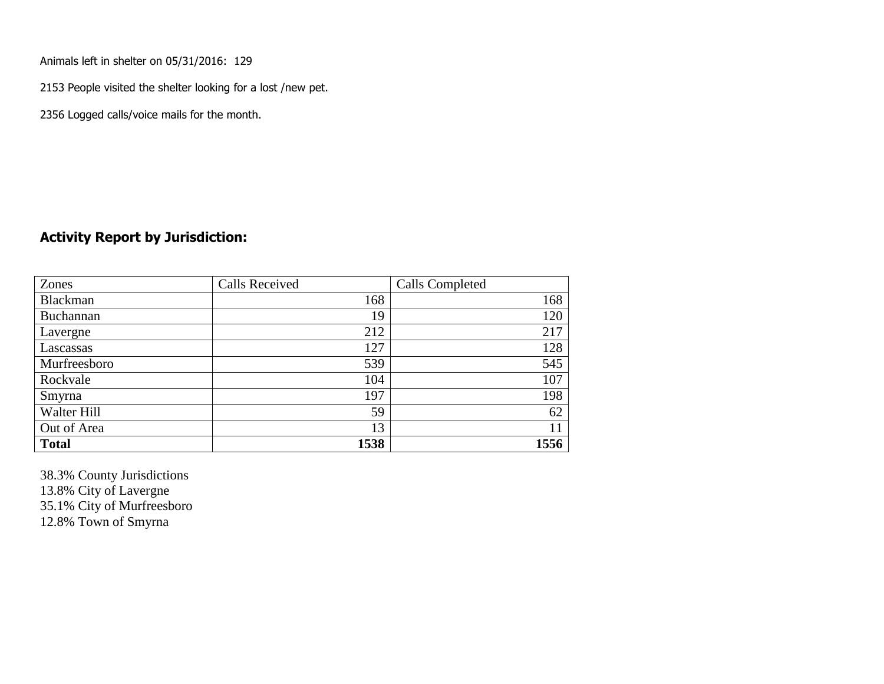Animals left in shelter on 05/31/2016: 129

2153 People visited the shelter looking for a lost /new pet.

2356 Logged calls/voice mails for the month.

## **Activity Report by Jurisdiction:**

| Zones           | <b>Calls Received</b> | Calls Completed |
|-----------------|-----------------------|-----------------|
| <b>Blackman</b> | 168                   | 168             |
| Buchannan       | 19                    | 120             |
| Lavergne        | 212                   | 217             |
| Lascassas       | 127                   | 128             |
| Murfreesboro    | 539                   | 545             |
| Rockvale        | 104                   | 107             |
| Smyrna          | 197                   | 198             |
| Walter Hill     | 59                    | 62              |
| Out of Area     | 13                    | 11              |
| <b>Total</b>    | 1538                  | 1556            |

38.3% County Jurisdictions 13.8% City of Lavergne 35.1% City of Murfreesboro 12.8% Town of Smyrna